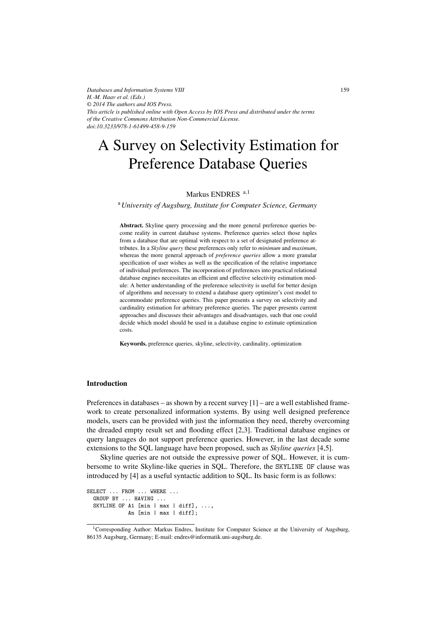*Databases and Information Systems VIII H.-M. Haav et al. (Eds.) © 2014 The authors and IOS Press. This article is published online with Open Access by IOS Press and distributed under the terms of the Creative Commons Attribution Non-Commercial License. doi:10.3233/978-1-61499-458-9-159*

# A Survey on Selectivity Estimation for Preference Database Queries

# Markus ENDRES <sup>a,1</sup>

<sup>a</sup>*University of Augsburg, Institute for Computer Science, Germany*

Abstract. Skyline query processing and the more general preference queries become reality in current database systems. Preference queries select those tuples from a database that are optimal with respect to a set of designated preference attributes. In a *Skyline query* these preferences only refer to *minimum* and *maximum*, whereas the more general approach of *preference queries* allow a more granular specification of user wishes as well as the specification of the relative importance of individual preferences. The incorporation of preferences into practical relational database engines necessitates an efficient and effective selectivity estimation module: A better understanding of the preference selectivity is useful for better design of algorithms and necessary to extend a database query optimizer's cost model to accommodate preference queries. This paper presents a survey on selectivity and cardinality estimation for arbitrary preference queries. The paper presents current approaches and discusses their advantages and disadvantages, such that one could decide which model should be used in a database engine to estimate optimization costs.

Keywords. preference queries, skyline, selectivity, cardinality, optimization

# Introduction

Preferences in databases – as shown by a recent survey  $[1]$  – are a well established framework to create personalized information systems. By using well designed preference models, users can be provided with just the information they need, thereby overcoming the dreaded empty result set and flooding effect [2,3]. Traditional database engines or query languages do not support preference queries. However, in the last decade some extensions to the SQL language have been proposed, such as *Skyline queries* [4,5].

Skyline queries are not outside the expressive power of SQL. However, it is cumbersome to write Skyline-like queries in SQL. Therefore, the SKYLINE OF clause was introduced by [4] as a useful syntactic addition to SQL. Its basic form is as follows:

```
SELECT ... FROM ... WHERE ...
 GROUP BY ... HAVING ...
 SKYLINE OF A1 [min | max | diff], ...,
             An [min | max | diff];
```
<sup>1</sup>Corresponding Author: Markus Endres, Institute for Computer Science at the University of Augsburg, 86135 Augsburg, Germany; E-mail: endres@informatik.uni-augsburg.de.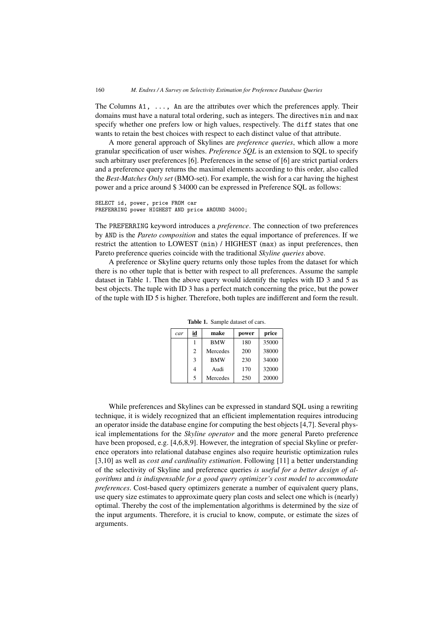The Columns  $A1$ ,  $\ldots$ , An are the attributes over which the preferences apply. Their domains must have a natural total ordering, such as integers. The directives min and max specify whether one prefers low or high values, respectively. The diff states that one wants to retain the best choices with respect to each distinct value of that attribute.

A more general approach of Skylines are *preference queries*, which allow a more granular specification of user wishes. *Preference SQL* is an extension to SQL to specify such arbitrary user preferences [6]. Preferences in the sense of [6] are strict partial orders and a preference query returns the maximal elements according to this order, also called the *Best-Matches Only set* (BMO-set). For example, the wish for a car having the highest power and a price around \$ 34000 can be expressed in Preference SQL as follows:

```
SELECT id, power, price FROM car
PREFERRING power HIGHEST AND price AROUND 34000;
```
The PREFERRING keyword introduces a *preference*. The connection of two preferences by AND is the *Pareto composition* and states the equal importance of preferences. If we restrict the attention to LOWEST (min) / HIGHEST (max) as input preferences, then Pareto preference queries coincide with the traditional *Skyline queries* above.

A preference or Skyline query returns only those tuples from the dataset for which there is no other tuple that is better with respect to all preferences. Assume the sample dataset in Table 1. Then the above query would identify the tuples with ID 3 and 5 as best objects. The tuple with ID 3 has a perfect match concerning the price, but the power of the tuple with ID 5 is higher. Therefore, both tuples are indifferent and form the result.

| car | id             | make       | power | price |
|-----|----------------|------------|-------|-------|
|     |                | <b>BMW</b> | 180   | 35000 |
|     | $\overline{c}$ | Mercedes   | 200   | 38000 |
|     | 3              | <b>BMW</b> | 230   | 34000 |
|     | 4              | Audi       | 170   | 32000 |
|     | 5              | Mercedes   | 250   | 20000 |

Table 1. Sample dataset of cars.

While preferences and Skylines can be expressed in standard SQL using a rewriting technique, it is widely recognized that an efficient implementation requires introducing an operator inside the database engine for computing the best objects [4,7]. Several physical implementations for the *Skyline operator* and the more general Pareto preference have been proposed, e.g. [4,6,8,9]. However, the integration of special Skyline or preference operators into relational database engines also require heuristic optimization rules [3,10] as well as *cost and cardinality estimation*. Following [11] a better understanding of the selectivity of Skyline and preference queries *is useful for a better design of algorithms* and *is indispensable for a good query optimizer's cost model to accommodate preferences*. Cost-based query optimizers generate a number of equivalent query plans, use query size estimates to approximate query plan costs and select one which is (nearly) optimal. Thereby the cost of the implementation algorithms is determined by the size of the input arguments. Therefore, it is crucial to know, compute, or estimate the sizes of arguments.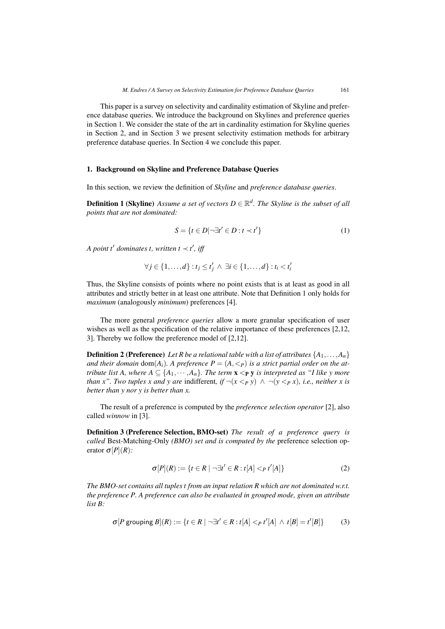This paper is a survey on selectivity and cardinality estimation of Skyline and preference database queries. We introduce the background on Skylines and preference queries in Section 1. We consider the state of the art in cardinality estimation for Skyline queries in Section 2, and in Section 3 we present selectivity estimation methods for arbitrary preference database queries. In Section 4 we conclude this paper.

### 1. Background on Skyline and Preference Database Queries

In this section, we review the definition of *Skyline* and *preference database queries*.

**Definition 1 (Skyline)** *Assume a set of vectors*  $D \in \mathbb{R}^d$ . The Skyline is the subset of all *points that are not dominated:*

$$
S = \{ t \in D | \neg \exists t' \in D : t \prec t' \}
$$
\n<sup>(1)</sup>

*A point t' dominates t, written t*  $\prec$  *t', iff* 

$$
\forall j \in \{1,\ldots,d\} : t_j \leq t'_j \land \exists i \in \{1,\ldots,d\} : t_i < t'_i
$$

Thus, the Skyline consists of points where no point exists that is at least as good in all attributes and strictly better in at least one attribute. Note that Definition 1 only holds for *maximum* (analogously *minimum*) preferences [4].

The more general *preference queries* allow a more granular specification of user wishes as well as the specification of the relative importance of these preferences [2,12, 3]. Thereby we follow the preference model of [2,12].

**Definition 2 (Preference)** Let R be a relational table with a list of attributes  $\{A_1, \ldots, A_n\}$ *and their domain* dom( $A_i$ ). A preference  $P = (A, \leq_P)$  is a strict partial order on the at*tribute list A, where*  $A \subseteq \{A_1, \dots, A_n\}$ *. The term*  $\mathbf{x} <_{\mathbf{P}} \mathbf{y}$  *is interpreted as "I like y more than x". Two tuples x and y are indifferent, if*  $\neg(x <_P y) \land \neg(y <_P x)$ *, i.e., neither x is better than y nor y is better than x.*

The result of a preference is computed by the *preference selection operator* [2], also called *winnow* in [3].

Definition 3 (Preference Selection, BMO-set) *The result of a preference query is called* Best-Matching-Only *(BMO) set and is computed by the* preference selection operator  $\sigma[P](R)$ :

$$
\sigma[P](R) := \{ t \in R \mid \neg \exists t' \in R : t[A] <_{P} t'[A] \} \tag{2}
$$

*The BMO-set contains all tuples t from an input relation R which are not dominated w.r.t. the preference P. A preference can also be evaluated in grouped mode, given an attribute list B:*

$$
\sigma[P \text{ grouping } B](R) := \{t \in R \mid \neg \exists t' \in R : t[A] <_{P} t'[A] \land t[B] = t'[B] \} \tag{3}
$$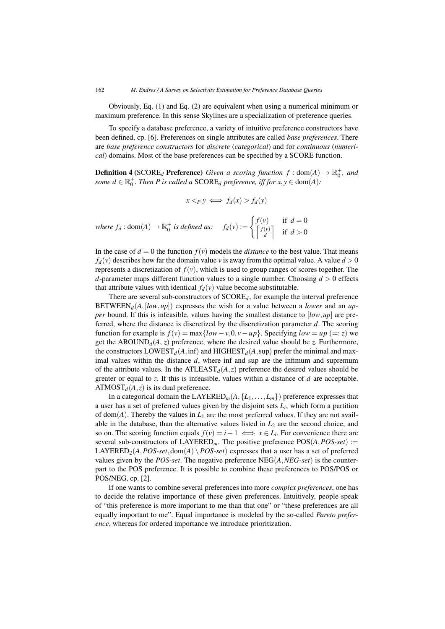Obviously, Eq. (1) and Eq. (2) are equivalent when using a numerical minimum or maximum preference. In this sense Skylines are a specialization of preference queries.

To specify a database preference, a variety of intuitive preference constructors have been defined, cp. [6]. Preferences on single attributes are called *base preferences*. There are *base preference constructors* for *discrete* (*categorical*) and for *continuous* (*numerical*) domains. Most of the base preferences can be specified by a SCORE function.

**Definition 4** (SCORE<sub>d</sub> Preference) *Given a scoring function*  $f : dom(A) \rightarrow \mathbb{R}_0^+$ *, and some*  $d \in \mathbb{R}_0^+$ *. Then P is called a*  $SCORE<sub>d</sub>$  *preference, iff for*  $x, y \in \text{dom}(A)$ *:* 

$$
x <_P y \iff f_d(x) > f_d(y)
$$

where 
$$
f_d : \text{dom}(A) \to \mathbb{R}_0^+
$$
 is defined as:  $f_d(v) := \begin{cases} f(v) & \text{if } d = 0 \\ \left\lceil \frac{f(v)}{d} \right\rceil & \text{if } d > 0 \end{cases}$ 

In the case of  $d = 0$  the function  $f(v)$  models the *distance* to the best value. That means  $f_d(v)$  describes how far the domain value *v* is away from the optimal value. A value  $d > 0$ represents a discretization of  $f(v)$ , which is used to group ranges of scores together. The *d*-parameter maps different function values to a single number. Choosing  $d > 0$  effects that attribute values with identical  $f_d(v)$  value become substitutable.

There are several sub-constructors of SCORE*d*, for example the interval preference BETWEEN<sub>d</sub>( $A$ ,[low,*up*]) expresses the wish for a value between a *lower* and an *upper* bound. If this is infeasible, values having the smallest distance to [*low*,*up*] are preferred, where the distance is discretized by the discretization parameter *d*. The scoring function for example is  $f(v) = \max\{low - v, 0, v - up\}$ . Specifying  $low = up (= z)$  we get the AROUND<sub>d</sub> $(A, z)$  preference, where the desired value should be *z*. Furthermore, the constructors  $LOWEST_d(A,inf)$  and  $HIGHEST_d(A,sup)$  prefer the minimal and maximal values within the distance *d*, where inf and sup are the infimum and supremum of the attribute values. In the ATLEAST $_d(A, z)$  preference the desired values should be greater or equal to *z*. If this is infeasible, values within a distance of *d* are acceptable. ATMOST<sub> $d$ </sub> $(A, z)$  is its dual preference.

In a categorical domain the  $LAYERED_m(A, {L_1, \ldots, L_m})$  preference expresses that a user has a set of preferred values given by the disjoint sets  $L_i$ , which form a partition of  $dom(A)$ . Thereby the values in  $L_1$  are the most preferred values. If they are not available in the database, than the alternative values listed in  $L<sub>2</sub>$  are the second choice, and so on. The scoring function equals  $f(v) = i - 1 \iff x \in L_i$ . For convenience there are several sub-constructors of LAYERED*m*. The positive preference POS(*A*,*POS-set*) := LAYERED<sub>2</sub>(*A*, *POS-set*, dom(*A*) \ *POS-set*) expresses that a user has a set of preferred values given by the *POS-set*. The negative preference NEG(*A*,*NEG-set*) is the counterpart to the POS preference. It is possible to combine these preferences to POS/POS or POS/NEG, cp. [2].

If one wants to combine several preferences into more *complex preferences*, one has to decide the relative importance of these given preferences. Intuitively, people speak of "this preference is more important to me than that one" or "these preferences are all equally important to me". Equal importance is modeled by the so-called *Pareto preference*, whereas for ordered importance we introduce prioritization.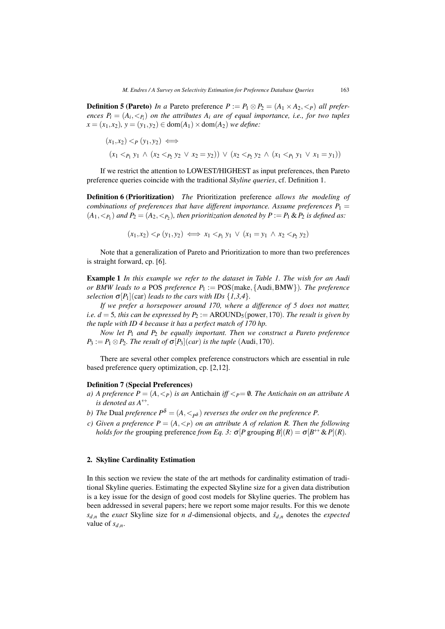**Definition 5 (Pareto)** *In a* Pareto preference  $P := P_1 \otimes P_2 = (A_1 \times A_2, \langle P \rangle)$  *all preferences*  $P_i = (A_i, \leq_{P_i})$  *on the attributes*  $A_i$  *are of equal importance, i.e., for two tuples x* = (*x*<sub>1</sub>, *x*<sub>2</sub>)*, y* = (*y*<sub>1</sub>, *y*<sub>2</sub>) ∈ dom(*A*<sub>1</sub>) × dom(*A*<sub>2</sub>) *we define:* 

$$
(x_1, x_2) <_P (y_1, y_2) \iff (x_1 <_{P_1} y_1 \land (x_2 <_{P_2} y_2 \lor x_2 = y_2)) \lor (x_2 <_{P_2} y_2 \land (x_1 <_{P_1} y_1 \lor x_1 = y_1))
$$

If we restrict the attention to LOWEST/HIGHEST as input preferences, then Pareto preference queries coincide with the traditional *Skyline queries*, cf. Definition 1.

Definition 6 (Prioritization) *The* Prioritization preference *allows the modeling of combinations of preferences that have different importance. Assume preferences*  $P_1$  =  $(A_1, \langle A_1, A_2 \rangle)$  and  $P_2 = (A_2, \langle A_2 \rangle)$ , then prioritization denoted by  $P := P_1 \& P_2$  is defined as:

 $(x_1, x_2) \leq P(y_1, y_2) \iff x_1 \leq P, y_1 \lor (x_1 = y_1 \land x_2 \leq P, y_2)$ 

Note that a generalization of Pareto and Prioritization to more than two preferences is straight forward, cp. [6].

Example 1 *In this example we refer to the dataset in Table 1. The wish for an Audi or BMW leads to a* POS *preference P*<sup>1</sup> := POS(make,{Audi,BMW})*. The preference selection*  $\sigma[P_1](car)$  *leads to the cars with IDs*  $\{1,3,4\}$ *.* 

*If we prefer a horsepower around 170, where a difference of 5 does not matter, i.e.*  $d = 5$ *, this can be expressed by P*<sub>2</sub> := AROUND<sub>5</sub>(power, 170)*. The result is given by the tuple with ID 4 because it has a perfect match of 170 hp.*

*Now let P*<sup>1</sup> *and P*<sup>2</sup> *be equally important. Then we construct a Pareto preference*  $P_3 := P_1 \otimes P_2$ *. The result of*  $\sigma[P_3](car)$  *is the tuple* (Audi, 170)*.* 

There are several other complex preference constructors which are essential in rule based preference query optimization, cp. [2,12].

#### Definition 7 (Special Preferences)

- *a) A preference*  $P = (A, \langle P \rangle)$  *is an* Antichain *iff*  $\langle P \rangle = \emptyset$ *. The Antichain on an attribute A is denoted as*  $A^{\leftrightarrow}$ *.*
- *b)* The Dual preference  $P^{\delta} = (A, \langle \cdot \rangle_{\delta})$  reverses the order on the preference P.
- *c)* Given a preference  $P = (A, \langle p \rangle)$  on an attribute A of relation R. Then the following *holds for the* grouping preference *from Eq. 3:*  $\sigma[P]$  grouping  $B|(R) = \sigma[B \leftrightarrow \& P](R)$ .

# 2. Skyline Cardinality Estimation

In this section we review the state of the art methods for cardinality estimation of traditional Skyline queries. Estimating the expected Skyline size for a given data distribution is a key issue for the design of good cost models for Skyline queries. The problem has been addressed in several papers; here we report some major results. For this we denote  $s_{d,n}$  the *exact* Skyline size for *n d*-dimensional objects, and  $\hat{s}_{d,n}$  denotes the *expected* value of  $s_{d,n}$ .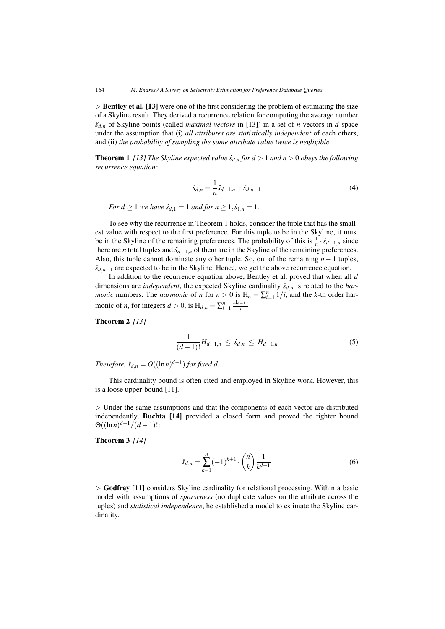$\triangleright$  **Bentley et al.** [13] were one of the first considering the problem of estimating the size of a Skyline result. They derived a recurrence relation for computing the average number  $\hat{s}_{d,n}$  of Skyline points (called *maximal vectors* in [13]) in a set of *n* vectors in *d*-space under the assumption that (i) *all attributes are statistically independent* of each others, and (ii) *the probability of sampling the same attribute value twice is negligible*.

**Theorem 1** [13] The Skyline expected value  $\hat{s}_{d,n}$  for  $d > 1$  and  $n > 0$  obeys the following *recurrence equation:*

$$
\hat{s}_{d,n} = \frac{1}{n}\hat{s}_{d-1,n} + \hat{s}_{d,n-1} \tag{4}
$$

*For d*  $\geq 1$  *we have*  $\hat{s}_{d,1} = 1$  *and for*  $n \geq 1, \hat{s}_{1,n} = 1$ *.* 

To see why the recurrence in Theorem 1 holds, consider the tuple that has the smallest value with respect to the first preference. For this tuple to be in the Skyline, it must be in the Skyline of the remaining preferences. The probability of this is  $\frac{1}{n} \cdot \hat{s}_{d-1,n}$  since there are *n* total tuples and  $\hat{s}_{d-1,n}$  of them are in the Skyline of the remaining preferences. Also, this tuple cannot dominate any other tuple. So, out of the remaining *n*−1 tuples,  $\hat{s}_{d,n-1}$  are expected to be in the Skyline. Hence, we get the above recurrence equation.

In addition to the recurrence equation above, Bentley et al. proved that when all *d* dimensions are *independent*, the expected Skyline cardinality  $\hat{s}_{d,n}$  is related to the *harmonic* numbers. The *harmonic* of *n* for  $n > 0$  is  $H_n = \sum_{i=1}^n 1/i$ , and the *k*-th order harmonic of *n*, for integers  $d > 0$ , is  $H_{d,n} = \sum_{i=1}^{n} \frac{H_{d-1,i}}{i}$ .

Theorem 2 *[13]*

$$
\frac{1}{(d-1)!}H_{d-1,n} \leq \hat{s}_{d,n} \leq H_{d-1,n} \tag{5}
$$

*Therefore,*  $\hat{s}_{d,n} = O((\ln n)^{d-1})$  *for fixed d.* 

This cardinality bound is often cited and employed in Skyline work. However, this is a loose upper-bound [11].

 $\triangleright$  Under the same assumptions and that the components of each vector are distributed independently, Buchta [14] provided a closed form and proved the tighter bound  $\Theta((\ln n)^{d-1}/(d-1))$ :

Theorem 3 *[14]*

$$
\hat{s}_{d,n} = \sum_{k=1}^{n} (-1)^{k+1} \cdot \binom{n}{k} \frac{1}{k^{d-1}} \tag{6}
$$

 $\triangleright$  Godfrey [11] considers Skyline cardinality for relational processing. Within a basic model with assumptions of *sparseness* (no duplicate values on the attribute across the tuples) and *statistical independence*, he established a model to estimate the Skyline cardinality.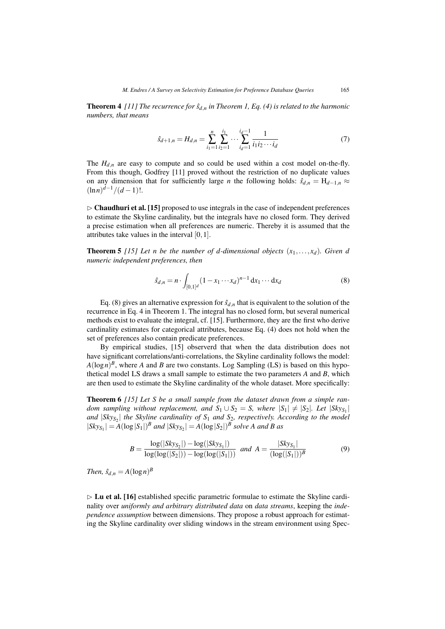**Theorem 4** [11] The recurrence for  $\hat{s}_{d,n}$  in Theorem 1, Eq. (4) is related to the harmonic *numbers, that means*

$$
\hat{s}_{d+1,n} = H_{d,n} = \sum_{i_1=1}^n \sum_{i_2=1}^{i_1} \cdots \sum_{i_d=1}^{i_d-1} \frac{1}{i_1 i_2 \cdots i_d} \tag{7}
$$

The  $H_{d,n}$  are easy to compute and so could be used within a cost model on-the-fly. From this though, Godfrey [11] proved without the restriction of no duplicate values on any dimension that for sufficiently large *n* the following holds:  $\hat{s}_{d,n} = H_{d-1,n} \approx$  $(\ln n)^{d-1}/(d-1)!$ .

 $\triangleright$  **Chaudhuri et al.** [15] proposed to use integrals in the case of independent preferences to estimate the Skyline cardinality, but the integrals have no closed form. They derived a precise estimation when all preferences are numeric. Thereby it is assumed that the attributes take values in the interval [0,1].

**Theorem 5** [15] Let n be the number of d-dimensional objects  $(x_1, \ldots, x_d)$ . Given d *numeric independent preferences, then*

$$
\hat{s}_{d,n} = n \cdot \int_{[0,1]^d} (1 - x_1 \cdots x_d)^{n-1} \, \mathrm{d}x_1 \cdots \mathrm{d}x_d \tag{8}
$$

Eq. (8) gives an alternative expression for  $\hat{s}_{d,n}$  that is equivalent to the solution of the recurrence in Eq. 4 in Theorem 1. The integral has no closed form, but several numerical methods exist to evaluate the integral, cf. [15]. Furthermore, they are the first who derive cardinality estimates for categorical attributes, because Eq. (4) does not hold when the set of preferences also contain predicate preferences.

By empirical studies, [15] observerd that when the data distribution does not have significant correlations/anti-correlations, the Skyline cardinality follows the model:  $A(\log n)^B$ , where *A* and *B* are two constants. Log Sampling (LS) is based on this hypothetical model LS draws a small sample to estimate the two parameters *A* and *B*, which are then used to estimate the Skyline cardinality of the whole dataset. More specifically:

Theorem 6 *[15] Let S be a small sample from the dataset drawn from a simple random sampling without replacement, and*  $S_1 \cup S_2 = S$ *, where*  $|S_1| \neq |S_2|$ *. Let*  $|S_k y_{S_1}|$ *and* |*SkyS*<sup>2</sup> | *the Skyline cardinality of S*<sup>1</sup> *and S*2*, respectively. According to the model*  $|Sky_{S_1}| = A(\log|S_1|)^B$  *and*  $|Sky_{S_2}| = A(\log|S_2|)^B$  *solve A and B as* 

$$
B = \frac{\log(|Sky_{S_2}|) - \log(|Sky_{S_1}|)}{\log(\log(|S_2|)) - \log(\log(|S_1|))} \text{ and } A = \frac{|Sky_{S_1}|}{(\log(|S_1|))^B}
$$
(9)

*Then,*  $\hat{s}_{d,n} = A(\log n)^B$ 

 $\triangleright$  Lu et al. [16] established specific parametric formulae to estimate the Skyline cardinality over *uniformly and arbitrary distributed data* on *data streams*, keeping the *independence assumption* between dimensions. They propose a robust approach for estimating the Skyline cardinality over sliding windows in the stream environment using Spec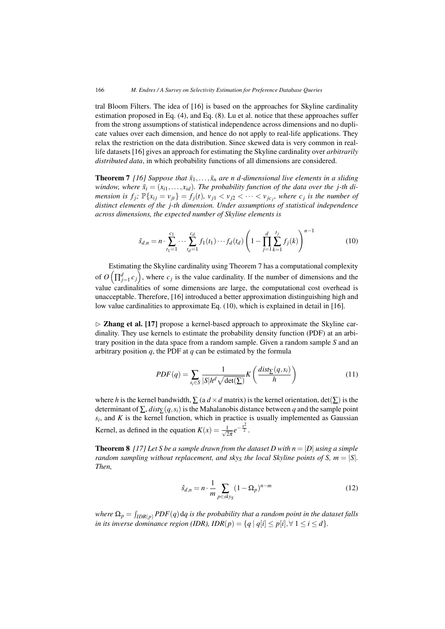tral Bloom Filters. The idea of [16] is based on the approaches for Skyline cardinality estimation proposed in Eq. (4), and Eq. (8). Lu et al. notice that these approaches suffer from the strong assumptions of statistical independence across dimensions and no duplicate values over each dimension, and hence do not apply to real-life applications. They relax the restriction on the data distribution. Since skewed data is very common in reallife datasets [16] gives an approach for estimating the Skyline cardinality over *arbitrarily distributed data*, in which probability functions of all dimensions are considered.

**Theorem 7** [16] Suppose that  $\bar{x}_1, \ldots, \bar{x}_n$  are n d-dimensional live elements in a sliding *window, where*  $\bar{x}_i = (x_{i1},...,x_{id})$ *. The probability function of the data over the j-th dimension is f<sub>j</sub>;*  $\mathbb{P}\{x_{ij} = v_{jt}\} = f_j(t)$ *,*  $v_{j1} < v_{j2} < \cdots < v_{jc_j}$ *, where c<sub>j</sub> is the number of distinct elements of the j-th dimension. Under assumptions of statistical independence across dimensions, the expected number of Skyline elements is*

$$
\hat{s}_{d,n} = n \cdot \sum_{t_1=1}^{c_1} \cdots \sum_{t_d=1}^{c_d} f_1(t_1) \cdots f_d(t_d) \left( 1 - \prod_{j=1}^d \sum_{k=1}^{t_j} f_j(k) \right)^{n-1}
$$
(10)

Estimating the Skyline cardinality using Theorem 7 has a computational complexity of  $O(\prod_{j=1}^{d} c_j)$ , where  $c_j$  is the value cardinality. If the number of dimensions and the value cardinalities of some dimensions are large, the computational cost overhead is unacceptable. Therefore, [16] introduced a better approximation distinguishing high and low value cardinalities to approximate Eq. (10), which is explained in detail in [16].

 $\triangleright$  Zhang et al. [17] propose a kernel-based approach to approximate the Skyline cardinality. They use kernels to estimate the probability density function (PDF) at an arbitrary position in the data space from a random sample. Given a random sample *S* and an arbitrary position *q*, the PDF at *q* can be estimated by the formula

$$
PDF(q) = \sum_{s_i \in S} \frac{1}{|S|h^d \sqrt{\det(\Sigma)}} K\left(\frac{dist_{\Sigma}(q, s_i)}{h}\right)
$$
(11)

where *h* is the kernel bandwidth,  $\sum$  (a  $d \times d$  matrix) is the kernel orientation, det( $\sum$ ) is the determinant of ∑, *dist*∑(*q*,*si*) is the Mahalanobis distance between *q* and the sample point  $s_i$ , and  $K$  is the kernel function, which in practice is usually implemented as Gaussian Kernel, as defined in the equation  $K(x) = \frac{1}{\sqrt{2\pi}}e^{-\frac{x^2}{2}}$ .

**Theorem 8** [17] Let S be a sample drawn from the dataset D with  $n = |D|$  *using a simple random sampling without replacement, and sky<sub>S</sub> the local Skyline points of S, m =*  $|S|$ *. Then,*

$$
\hat{s}_{d,n} = n \cdot \frac{1}{m} \sum_{p \in sky_S} (1 - \Omega_p)^{n-m} \tag{12}
$$

where  $\Omega_p = \int_{IDR(p)} PDF(q)$  d $q$  is the probability that a random point in the dataset falls *in its inverse dominance region (IDR), IDR(* $p$ *) = {* $q | q[i] \leq p[i], \forall 1 \leq i \leq d$ *}.*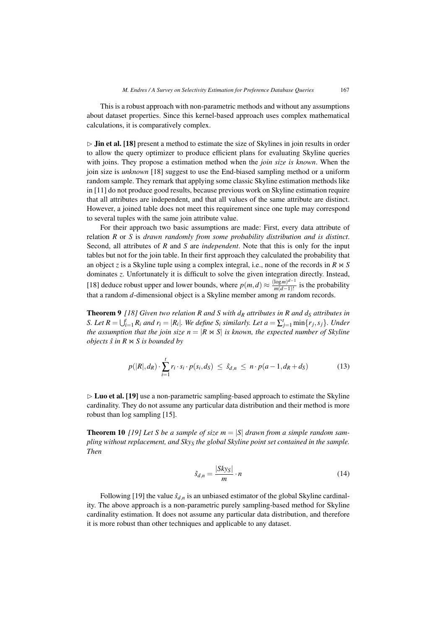This is a robust approach with non-parametric methods and without any assumptions about dataset properties. Since this kernel-based approach uses complex mathematical calculations, it is comparatively complex.

 $\triangleright$  Jin et al. [18] present a method to estimate the size of Skylines in join results in order to allow the query optimizer to produce efficient plans for evaluating Skyline queries with joins. They propose a estimation method when the *join size is known*. When the join size is *unknown* [18] suggest to use the End-biased sampling method or a uniform random sample. They remark that applying some classic Skyline estimation methods like in [11] do not produce good results, because previous work on Skyline estimation require that all attributes are independent, and that all values of the same attribute are distinct. However, a joined table does not meet this requirement since one tuple may correspond to several tuples with the same join attribute value.

For their approach two basic assumptions are made: First, every data attribute of relation *R* or *S* is *drawn randomly from some probability distribution and is distinct*. Second, all attributes of *R* and *S* are *independent*. Note that this is only for the input tables but not for the join table. In their first approach they calculated the probability that an object *z* is a Skyline tuple using a complex integral, i.e., none of the records in  $R \Join S$ dominates *z*. Unfortunately it is difficult to solve the given integration directly. Instead, [18] deduce robust upper and lower bounds, where  $p(m,d) \approx \frac{(\log m)^{d-1}}{m(d-1)!}$  is the probability that a random *d*-dimensional object is a Skyline member among *m* random records.

**Theorem 9** [18] Given two relation R and S with  $d<sub>R</sub>$  attributes in R and  $d<sub>S</sub>$  attributes in *S. Let*  $R = \bigcup_{i=1}^{t} R_i$  *and*  $r_i = |R_i|$ *. We define S<sub>i</sub> similarly. Let*  $a = \sum_{j=1}^{t} \min\{r_j, s_j\}$ *. Under* the assumption that the join size  $n = |R \Join S|$  is known, the expected number of Skyline *objects*  $\hat{s}$  *in*  $\hat{R}$   $\Join$  *S is bounded by* 

$$
p(|R|, d_R) \cdot \sum_{i=1}^{t} r_i \cdot s_i \cdot p(s_i, d_S) \leq \hat{s}_{d,n} \leq n \cdot p(a-1, d_R + d_S)
$$
 (13)

 $\triangleright$  Luo et al. [19] use a non-parametric sampling-based approach to estimate the Skyline cardinality. They do not assume any particular data distribution and their method is more robust than log sampling [15].

**Theorem 10** [19] Let *S* be a sample of size  $m = |S|$  drawn from a simple random sam*pling without replacement, and SkyS the global Skyline point set contained in the sample. Then*

$$
\hat{s}_{d,n} = \frac{|Sky_S|}{m} \cdot n \tag{14}
$$

Following [19] the value  $\hat{s}_{d,n}$  is an unbiased estimator of the global Skyline cardinality. The above approach is a non-parametric purely sampling-based method for Skyline cardinality estimation. It does not assume any particular data distribution, and therefore it is more robust than other techniques and applicable to any dataset.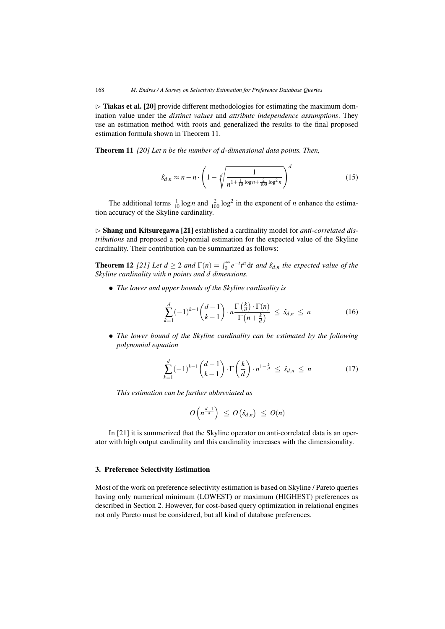$\triangleright$  Tiakas et al. [20] provide different methodologies for estimating the maximum domination value under the *distinct values* and *attribute independence assumptions*. They use an estimation method with roots and generalized the results to the final proposed estimation formula shown in Theorem 11.

Theorem 11 *[20] Let n be the number of d-dimensional data points. Then,*

$$
\hat{s}_{d,n} \approx n - n \cdot \left(1 - \sqrt[d]{\frac{1}{n^{1 + \frac{1}{10}\log n + \frac{2}{100}\log^2 n}}}\right)^d
$$
(15)

The additional terms  $\frac{1}{10} \log n$  and  $\frac{2}{100} \log^2$  in the exponent of *n* enhance the estimation accuracy of the Skyline cardinality.

- Shang and Kitsuregawa [21] established a cardinality model for *anti-correlated distributions* and proposed a polynomial estimation for the expected value of the Skyline cardinality. Their contribution can be summarized as follows:

**Theorem 12** [21] Let  $d \geq 2$  and  $\Gamma(n) = \int_0^\infty e^{-t} t^n dt$  and  $\hat{s}_{d,n}$  the expected value of the *Skyline cardinality with n points and d dimensions.*

*• The lower and upper bounds of the Skyline cardinality is*

$$
\sum_{k=1}^{d} (-1)^{k-1} {d-1 \choose k-1} \cdot n \frac{\Gamma(\frac{k}{d}) \cdot \Gamma(n)}{\Gamma(n+\frac{k}{d})} \leq \hat{s}_{d,n} \leq n \tag{16}
$$

*• The lower bound of the Skyline cardinality can be estimated by the following polynomial equation*

$$
\sum_{k=1}^{d}(-1)^{k-1}\binom{d-1}{k-1}\cdot\Gamma\left(\frac{k}{d}\right)\cdot n^{1-\frac{k}{d}} \leq \hat{s}_{d,n} \leq n \tag{17}
$$

*This estimation can be further abbreviated as*

$$
O\left(n^{\frac{d-1}{d}}\right) \leq O\left(\hat{S}_{d,n}\right) \leq O(n)
$$

In [21] it is summerized that the Skyline operator on anti-correlated data is an operator with high output cardinality and this cardinality increases with the dimensionality.

## 3. Preference Selectivity Estimation

Most of the work on preference selectivity estimation is based on Skyline / Pareto queries having only numerical minimum (LOWEST) or maximum (HIGHEST) preferences as described in Section 2. However, for cost-based query optimization in relational engines not only Pareto must be considered, but all kind of database preferences.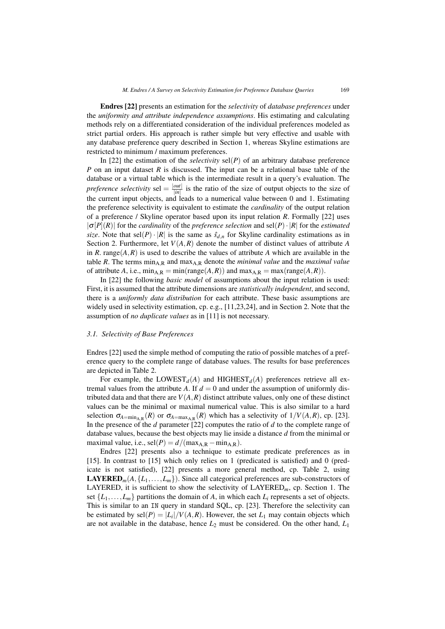Endres [22] presents an estimation for the *selectivity* of *database preferences* under the *uniformity and attribute independence assumptions*. His estimating and calculating methods rely on a differentiated consideration of the individual preferences modeled as strict partial orders. His approach is rather simple but very effective and usable with any database preference query described in Section 1, whereas Skyline estimations are restricted to minimum / maximum preferences.

In [22] the estimation of the *selectivity* sel( $P$ ) of an arbitrary database preference *P* on an input dataset *R* is discussed. The input can be a relational base table of the database or a virtual table which is the intermediate result in a query's evaluation. The *preference selectivity* sel  $=$   $\frac{|out|}{|in|}$  is the ratio of the size of output objects to the size of the current input objects, and leads to a numerical value between 0 and 1. Estimating the preference selectivity is equivalent to estimate the *cardinality* of the output relation of a preference / Skyline operator based upon its input relation *R*. Formally [22] uses |σ[*P*](*R*)| for the *cardinality* of the *preference selection* and sel(*P*)·|*R*| for the *estimated size*. Note that sel $(P) \cdot |R|$  is the same as  $\hat{s}_{d,n}$  for Skyline cardinality estimations as in Section 2. Furthermore, let  $V(A, R)$  denote the number of distinct values of attribute A in *R*. range( $A$ ,  $R$ ) is used to describe the values of attribute *A* which are available in the table *R*. The terms  $\min_{A,R}$  and  $\max_{A,R}$  denote the *minimal value* and the *maximal value* of attribute *A*, i.e.,  $\min_{AR} = \min(\text{range}(A, R))$  and  $\max_{AR} = \max(\text{range}(A, R)).$ 

In [22] the following *basic model* of assumptions about the input relation is used: First, it is assumed that the attribute dimensions are *statistically independent*, and second, there is a *uniformly data distribution* for each attribute. These basic assumptions are widely used in selectivity estimation, cp. e.g., [11,23,24], and in Section 2. Note that the assumption of *no duplicate values* as in [11] is not necessary.

#### *3.1. Selectivity of Base Preferences*

Endres [22] used the simple method of computing the ratio of possible matches of a preference query to the complete range of database values. The results for base preferences are depicted in Table 2.

For example, the LOWEST<sub>d</sub>(A) and HIGHEST<sub>d</sub>(A) preferences retrieve all extremal values from the attribute *A*. If  $d = 0$  and under the assumption of uniformly distributed data and that there are  $V(A, R)$  distinct attribute values, only one of these distinct values can be the minimal or maximal numerical value. This is also similar to a hard selection  $\sigma_{A=\min_{A,R}}(R)$  or  $\sigma_{A=\max_{A,R}}(R)$  which has a selectivity of  $1/V(A,R)$ , cp. [23]. In the presence of the *d* parameter [22] computes the ratio of *d* to the complete range of database values, because the best objects may lie inside a distance *d* from the minimal or maximal value, i.e.,  $\text{sel}(P) = d/(\text{max}_{A,R} - \text{min}_{A,R}).$ 

Endres [22] presents also a technique to estimate predicate preferences as in [15]. In contrast to [15] which only relies on 1 (predicated is satisfied) and 0 (predicate is not satisfied), [22] presents a more general method, cp. Table 2, using **LAYERED**<sub>*m*</sub>( $A, \{L_1, \ldots, L_m\}$ ). Since all categorical preferences are sub-constructors of LAYERED, it is sufficient to show the selectivity of LAYERED*m*, cp. Section 1. The set  $\{L_1, \ldots, L_m\}$  partitions the domain of *A*, in which each  $L_i$  represents a set of objects. This is similar to an IN query in standard SQL, cp. [23]. Therefore the selectivity can be estimated by  $\text{sel}(P) = |L_i|/V(A,R)$ . However, the set  $L_1$  may contain objects which are not available in the database, hence  $L_2$  must be considered. On the other hand,  $L_1$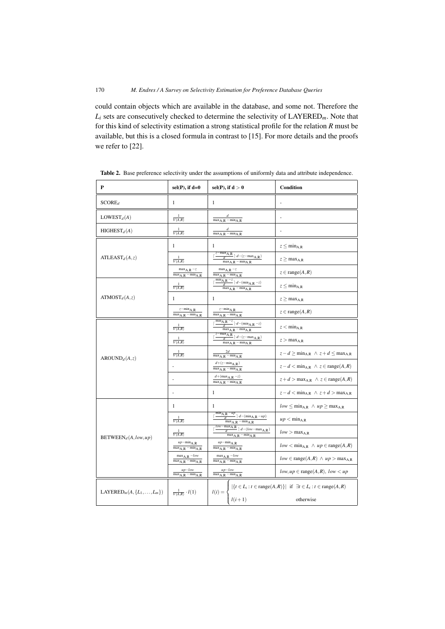could contain objects which are available in the database, and some not. Therefore the *Li* sets are consecutively checked to determine the selectivity of LAYERED*m*. Note that for this kind of selectivity estimation a strong statistical profile for the relation *R* must be available, but this is a closed formula in contrast to [15]. For more details and the proofs we refer to [22].

| P                                                                                                                   | $sel(P)$ , if $d=0$                                                | sel(P), if $d > 0$<br>Condition                                                                                                                              |                                                                                                                                         |
|---------------------------------------------------------------------------------------------------------------------|--------------------------------------------------------------------|--------------------------------------------------------------------------------------------------------------------------------------------------------------|-----------------------------------------------------------------------------------------------------------------------------------------|
| SCORE <sub>d</sub>                                                                                                  | 1                                                                  | $\mathbf{1}$                                                                                                                                                 |                                                                                                                                         |
| $LOWEST_d(A)$                                                                                                       | $\overline{V(A,R)}$                                                | $\overline{\text{max}_{A,R} - \text{min}_{A,R}}$                                                                                                             |                                                                                                                                         |
| HIGHEST <sub>d</sub> (A)                                                                                            | $\overline{V(A,R)}$                                                | $\frac{d}{\max_{A,R}-\min_{A,R}}$                                                                                                                            |                                                                                                                                         |
|                                                                                                                     | 1                                                                  | 1                                                                                                                                                            | $z \leq \min_{A,R}$                                                                                                                     |
| ATLEAST <sub>d</sub> (A, z)                                                                                         | $\frac{1}{V(A,R)}$                                                 | $\frac{z-\max_{A,R}}{d}\left \cdot d - (z-\max_{A,R})\right $<br>$\overline{\text{max}_{A,R} - \text{min}_{A,R}}$                                            | $z \geq max_{A,R}$                                                                                                                      |
|                                                                                                                     | $max_{A,R}$ -z<br>$\overline{\text{max}_{A,R} - \text{min}_{A,R}}$ | $max_{A,R} -z$<br>$max_{A,R} - min_{A,R}$                                                                                                                    | $z \in \text{range}(A, R)$                                                                                                              |
|                                                                                                                     | V(A,R)                                                             | $\frac{\overline{\min}_{\hbox{\scriptsize{$A,R$}}} - z}{d} \rceil \cdot d - (\overline{\min}_{\hbox{\scriptsize{$A,R$}}} - z)$<br>$max_{A,R} - min_{A,R}$    | $z \leq \min_{A,R}$                                                                                                                     |
| ATMOST <sub>d</sub> (A, z)                                                                                          | 1                                                                  | $\mathbf{1}$                                                                                                                                                 | $z \geq max_{A,R}$                                                                                                                      |
|                                                                                                                     | $z - min_{A,R}$<br>$max_{A,R} - min_{A,R}$                         | $z - min_{A,R}$<br>$max_{A,R} - min_{A,R}$                                                                                                                   | $z \in \text{range}(A, R)$                                                                                                              |
|                                                                                                                     | $\frac{1}{V(A,R)}$                                                 | $\frac{\min_{A,R}-z}{d}\rceil \cdot d - (\min_{A,R}-z)$<br>$\frac{a}{\max_{A,R}-\min_{A,R}}$                                                                 | $z < min_{A,R}$                                                                                                                         |
|                                                                                                                     | $\frac{1}{V(A,R)}$                                                 | $\frac{\frac{z-\max_{A,R}}{d}\mid d-(z-\max_{A,R})}{\max_{A,R}-\min_{A,R}}$                                                                                  | $z > max_{A,R}$                                                                                                                         |
| $AROUND_d(A, z)$                                                                                                    | $\frac{1}{V(A,R)}$                                                 | 2d<br>$\overline{\text{max}_{A,R} - \text{min}_{A,R}}$                                                                                                       | $z-d \ge \min_{A,R} \land z+d \le \max_{A,R}$                                                                                           |
|                                                                                                                     |                                                                    | $d+(z-\min_{A,R})$<br>$max_{A,R} - min_{A,R}$                                                                                                                | $z-d < min_{A,R} \land z \in range(A,R)$                                                                                                |
|                                                                                                                     |                                                                    | $d + (\max_{A,R} -z)$<br>$max_{A,R} - min_{A,R}$                                                                                                             | $z+d > max_{A,R} \land z \in range(A,R)$                                                                                                |
|                                                                                                                     | ä,                                                                 | 1                                                                                                                                                            | $\label{eq:z-d} z - d < \text{min}_{\text{A,R}} \ \wedge \ z + d > \text{max}_{\text{A,R}}$                                             |
|                                                                                                                     | $\mathbf{1}$                                                       | $\mathbf{1}$                                                                                                                                                 | $low \leq min_{A,R} \land up \geq max_{A,R}$                                                                                            |
|                                                                                                                     | V(A,R)                                                             | $\frac{\min_{\mbox{\scriptsize A},\mbox{\scriptsize R}} -up}{d} \cdot d - (\min_{\mbox{\scriptsize A},\mbox{\scriptsize R}} -up)$<br>$max_{A,R} - min_{A,R}$ | up < min <sub>A,R</sub>                                                                                                                 |
| $BETWEEN_d(A,low,up)$                                                                                               | 1<br>V(A,R)                                                        | $\frac{ \overline{ \mathit{low} - \max_{A,R}} }{d} \overline{ \cdot } \mathit{d} - (\mathit{low} - \max_{A,R}) }$<br>$\text{max}_{A,R} - \text{min}_{A,R}$   | $low > max_{A.R}$                                                                                                                       |
|                                                                                                                     | $\mu p - \min_{A,R}$<br>$max_{A,R} - min_{A,R}$                    | $up-\text{min}_{A,R}$<br>$max_{A,R} - min_{A,R}$                                                                                                             | $low < min_{A,R} \wedge up \in range(A,R)$                                                                                              |
|                                                                                                                     | $\max_{A,R} -low$<br>$max_{A,R} - min_{A,R}$                       | $\max_{A,R} -low$<br>$\max_{A,R} - \min_{A,R}$                                                                                                               | $low \in \text{range}(A, R) \land up > \max_{A, R}$                                                                                     |
|                                                                                                                     | $up-low$<br>$max_{A,R} - min_{A,R}$                                | $\frac{up-low}{\max_{A,R}-\min_{A,R}}$                                                                                                                       | $low, up \in range(A, R), low < up$                                                                                                     |
| LAYERED <sub><i>m</i></sub> ( $A$ , { $L$ <sub>1</sub> , , $L$ <sub><i>m</i></sub> }) $\frac{1}{V(A,R)} \cdot l(1)$ |                                                                    |                                                                                                                                                              | $l(i) = \begin{cases}  \{t \in L_i : t \in \text{range}(A, R)\}  & \text{if } \exists t \in L_i : t \in \text{range}(A, R) \end{cases}$ |
|                                                                                                                     |                                                                    | $l(i+1)$                                                                                                                                                     | otherwise                                                                                                                               |

Table 2. Base preference selectivity under the assumptions of uniformly data and attribute independence.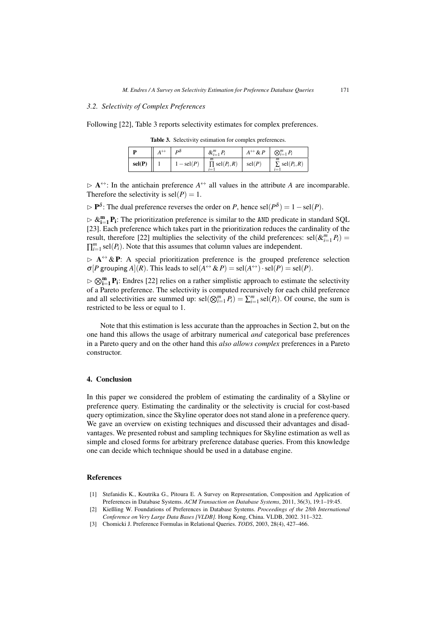## *3.2. Selectivity of Complex Preferences*

Following [22], Table 3 reports selectivity estimates for complex preferences.

|        | $A^{\leftrightarrow}$ | $\mathbf{p}\delta$ | $\&_{i=1}^m P_i$                     | $A^{\leftrightarrow} \& P$ | $\bigotimes_{i=1}^m P_i$           |
|--------|-----------------------|--------------------|--------------------------------------|----------------------------|------------------------------------|
| sel(P) |                       | $-$ sel $(P)$      | m<br>$\prod$ sel $(P_i, R)$<br>$i=1$ | $\text{sel}(P)$            | m<br>$\sum$ sel $(P_i, R)$<br>$i=$ |

Table 3. Selectivity estimation for complex preferences.

 $\triangleright$  **A**<sup> $\leftrightarrow$ </sup>: In the antichain preference  $A^{\leftrightarrow}$  all values in the attribute *A* are incomparable. Therefore the selectivity is  $\text{sel}(P) = 1$ .

- P<sup>δ</sup> : The dual preference reverses the order on *P*, hence sel(*P*<sup>δ</sup> ) = 1−sel(*P*).

 $\triangleright \&_{i=1}^{m} P_i$ : The prioritization preference is similar to the AND predicate in standard SQL [23]. Each preference which takes part in the prioritization reduces the cardinality of the result, therefore [22] multiplies the selectivity of the child preferences:  $\text{sel}(\&_{i=1}^{m} P_i)$  =  $\prod_{i=1}^{m}$  sel $(P_i)$ . Note that this assumes that column values are independent.

 $\triangleright$  A $\leftrightarrow$  & P: A special prioritization preference is the grouped preference selection  $\sigma[P$  grouping  $A|(R)$ . This leads to sel $(A^{\leftrightarrow} \& P) = \text{sel}(A^{\leftrightarrow}) \cdot \text{sel}(P) = \text{sel}(P)$ .

 $\triangleright \bigotimes_{i=1}^{m} P_i$ : Endres [22] relies on a rather simplistic approach to estimate the selectivity of a Pareto preference. The selectivity is computed recursively for each child preference and all selectivities are summed up:  $\text{sel}(\bigotimes_{i=1}^{m} P_i) = \sum_{i=1}^{m} \text{sel}(P_i)$ . Of course, the sum is restricted to be less or equal to 1.

Note that this estimation is less accurate than the approaches in Section 2, but on the one hand this allows the usage of arbitrary numerical *and* categorical base preferences in a Pareto query and on the other hand this *also allows complex* preferences in a Pareto constructor.

#### 4. Conclusion

In this paper we considered the problem of estimating the cardinality of a Skyline or preference query. Estimating the cardinality or the selectivity is crucial for cost-based query optimization, since the Skyline operator does not stand alone in a preference query. We gave an overview on existing techniques and discussed their advantages and disadvantages. We presented robust and sampling techniques for Skyline estimation as well as simple and closed forms for arbitrary preference database queries. From this knowledge one can decide which technique should be used in a database engine.

## References

- [1] Stefanidis K., Koutrika G., Pitoura E. A Survey on Representation, Composition and Application of Preferences in Database Systems. *ACM Transaction on Database Systems*, 2011, 36(3), 19:1–19:45.
- [2] Kießling W. Foundations of Preferences in Database Systems. *Proceedings of the 28th International Conference on Very Large Data Bases [VLDB].* Hong Kong, China. VLDB, 2002. 311–322.
- [3] Chomicki J. Preference Formulas in Relational Queries. *TODS*, 2003, 28(4), 427–466.